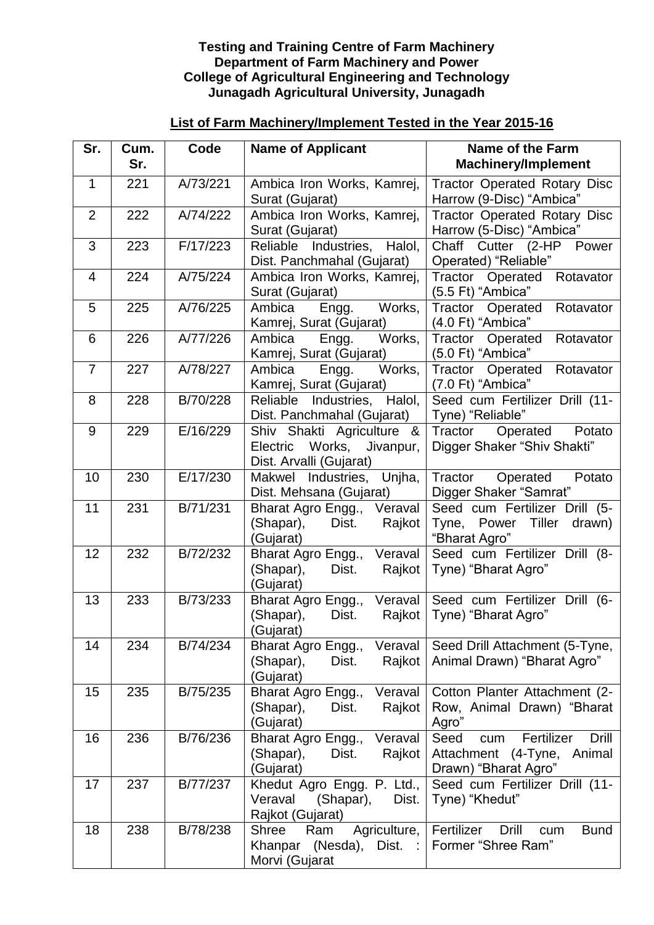## **Testing and Training Centre of Farm Machinery Department of Farm Machinery and Power College of Agricultural Engineering and Technology Junagadh Agricultural University, Junagadh**

## **List of Farm Machinery/Implement Tested in the Year 2015-16**

| Sr.            | Cum.<br>Sr. | Code     | <b>Name of Applicant</b>                                                             | <b>Name of the Farm</b><br><b>Machinery/Implement</b>                                                   |
|----------------|-------------|----------|--------------------------------------------------------------------------------------|---------------------------------------------------------------------------------------------------------|
| $\mathbf{1}$   | 221         | A/73/221 | Ambica Iron Works, Kamrej,<br>Surat (Gujarat)                                        | <b>Tractor Operated Rotary Disc</b><br>Harrow (9-Disc) "Ambica"                                         |
| $\overline{2}$ | 222         | A/74/222 | Ambica Iron Works, Kamrej,<br>Surat (Gujarat)                                        | <b>Tractor Operated Rotary Disc</b><br>Harrow (5-Disc) "Ambica"                                         |
| 3              | 223         | F/17/223 | Reliable Industries,<br>Halol,<br>Dist. Panchmahal (Gujarat)                         | Chaff Cutter (2-HP<br>Power<br>Operated) "Reliable"                                                     |
| $\overline{4}$ | 224         | A/75/224 | Ambica Iron Works, Kamrej,<br>Surat (Gujarat)                                        | Tractor Operated<br>Rotavator<br>(5.5 Ft) "Ambica"                                                      |
| 5              | 225         | A/76/225 | Engg. Works,<br>Ambica<br>Kamrej, Surat (Gujarat)                                    | Tractor Operated<br>Rotavator<br>(4.0 Ft) "Ambica"                                                      |
| 6              | 226         | A/77/226 | Works,<br>Ambica<br>Engg.<br>Kamrej, Surat (Gujarat)                                 | Rotavator<br>Tractor<br>Operated<br>(5.0 Ft) "Ambica"                                                   |
| $\overline{7}$ | 227         | A/78/227 | Works,<br>Ambica<br>Engg.<br>Kamrej, Surat (Gujarat)                                 | Tractor<br>Operated<br>Rotavator<br>(7.0 Ft) "Ambica"                                                   |
| 8              | 228         | B/70/228 | Reliable Industries, Halol,<br>Dist. Panchmahal (Gujarat)                            | Seed cum Fertilizer Drill (11-<br>Tyne) "Reliable"                                                      |
| 9              | 229         | E/16/229 | Shiv Shakti Agriculture &<br>Electric Works,<br>Jivanpur,<br>Dist. Arvalli (Gujarat) | Tractor<br>Operated Potato<br>Digger Shaker "Shiv Shakti"                                               |
| 10             | 230         | E/17/230 | Makwel Industries, Unjha,<br>Dist. Mehsana (Gujarat)                                 | Tractor Operated<br>Potato<br>Digger Shaker "Samrat"                                                    |
| 11             | 231         | B/71/231 | Bharat Agro Engg., Veraval<br>(Shapar),<br>Dist.<br>Rajkot<br>(Gujarat)              | Seed cum Fertilizer Drill (5-<br>Tyne, Power Tiller drawn)<br>"Bharat Agro"                             |
| 12             | 232         | B/72/232 | Bharat Agro Engg., Veraval<br>(Shapar),<br>Dist.<br>Rajkot<br>(Gujarat)              | Seed cum Fertilizer Drill (8-<br>Tyne) "Bharat Agro"                                                    |
| 13             | 233         | B/73/233 | Veraval<br>Bharat Agro Engg.,<br>(Shapar),<br>Dist.<br>Rajkot<br>(Gujarat)           | Seed cum Fertilizer Drill<br>$(6 -$<br>Tyne) "Bharat Agro"                                              |
| 14             | 234         | B/74/234 | Veraval<br>Bharat Agro Engg.,<br>Dist.<br>Rajkot<br>(Shapar),<br>(Gujarat)           | Seed Drill Attachment (5-Tyne,<br>Animal Drawn) "Bharat Agro"                                           |
| 15             | 235         | B/75/235 | Bharat Agro Engg.,<br>Veraval<br>(Shapar),<br>Dist.<br>Rajkot<br>(Gujarat)           | Cotton Planter Attachment (2-<br>Row, Animal Drawn) "Bharat<br>Agro"                                    |
| 16             | 236         | B/76/236 | Bharat Agro Engg.,<br>Veraval<br>(Shapar),<br>Rajkot<br>Dist.<br>(Gujarat)           | Seed<br>Fertilizer<br><b>Drill</b><br>cum<br>Attachment<br>$(4-Tyne,$<br>Animal<br>Drawn) "Bharat Agro" |
| 17             | 237         | B/77/237 | Khedut Agro Engg. P. Ltd.,<br>Veraval<br>(Shapar),<br>Dist.<br>Rajkot (Gujarat)      | Seed cum Fertilizer Drill (11-<br>Tyne) "Khedut"                                                        |
| 18             | 238         | B/78/238 | Agriculture,<br>Shree<br>Ram<br>(Nesda), Dist. :<br>Khanpar<br>Morvi (Gujarat        | Fertilizer<br>Drill<br><b>Bund</b><br>cum<br>Former "Shree Ram"                                         |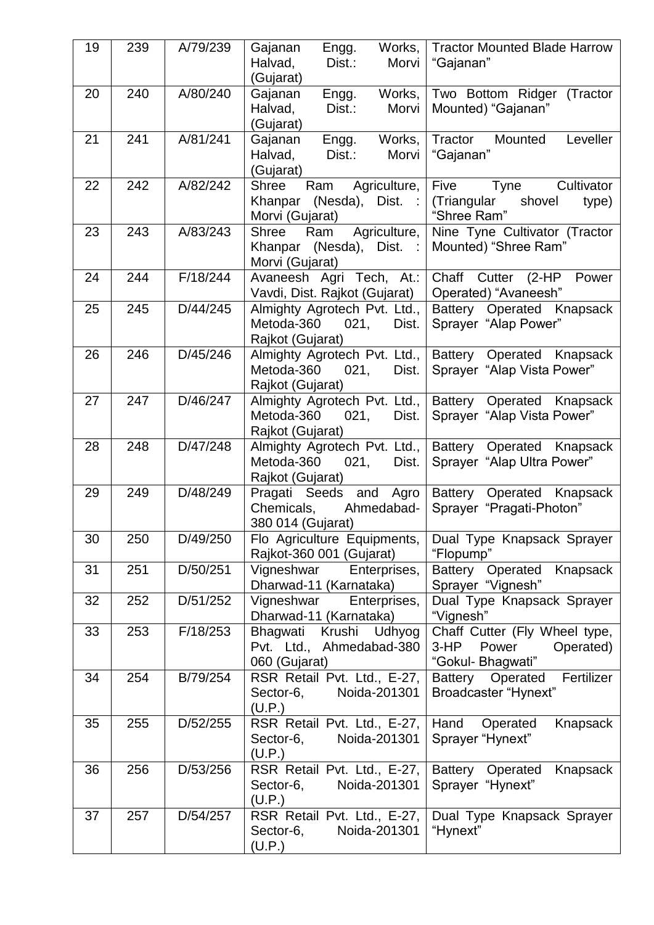| 19 | 239 | A/79/239 | Gajanan<br>Engg.<br>Works,<br>Dist.:<br>Morvi<br>Halvad,<br>(Gujarat)              | <b>Tractor Mounted Blade Harrow</b><br>"Gajanan"                                   |
|----|-----|----------|------------------------------------------------------------------------------------|------------------------------------------------------------------------------------|
| 20 | 240 | A/80/240 | Gajanan<br>Engg.<br>Works,<br>Dist.:<br>Morvi<br>Halvad,<br>(Gujarat)              | Two Bottom Ridger (Tractor<br>Mounted) "Gajanan"                                   |
| 21 | 241 | A/81/241 | Works,<br>Gajanan<br>Engg.<br>Morvi<br>Halvad,<br>Dist.:<br>(Gujarat)              | Tractor<br>Mounted<br>Leveller<br>"Gajanan"                                        |
| 22 | 242 | A/82/242 | Agriculture,<br><b>Shree</b><br>Ram<br>Khanpar (Nesda), Dist. :<br>Morvi (Gujarat) | <b>Five</b><br>Cultivator<br>Tyne<br>(Triangular<br>shovel<br>type)<br>"Shree Ram" |
| 23 | 243 | A/83/243 | Agriculture,<br>Shree<br>Ram<br>Khanpar (Nesda), Dist. :<br>Morvi (Gujarat)        | Nine Tyne Cultivator (Tractor<br>Mounted) "Shree Ram"                              |
| 24 | 244 | F/18/244 | Avaneesh Agri Tech, At.:<br>Vavdi, Dist. Rajkot (Gujarat)                          | Chaff<br>Cutter (2-HP<br>Power<br>Operated) "Avaneesh"                             |
| 25 | 245 | D/44/245 | Almighty Agrotech Pvt. Ltd.,<br>Metoda-360<br>021,<br>Dist.<br>Rajkot (Gujarat)    | Battery Operated Knapsack<br>Sprayer "Alap Power"                                  |
| 26 | 246 | D/45/246 | Almighty Agrotech Pvt. Ltd.,<br>Metoda-360<br>021,<br>Dist.<br>Rajkot (Gujarat)    | Battery Operated Knapsack<br>Sprayer "Alap Vista Power"                            |
| 27 | 247 | D/46/247 | Almighty Agrotech Pvt. Ltd.,<br>Metoda-360<br>021,<br>Dist.<br>Rajkot (Gujarat)    | Battery Operated Knapsack<br>Sprayer "Alap Vista Power"                            |
| 28 | 248 | D/47/248 | Almighty Agrotech Pvt. Ltd.,<br>Metoda-360<br>021,<br>Dist.<br>Rajkot (Gujarat)    | Battery Operated Knapsack<br>Sprayer "Alap Ultra Power"                            |
| 29 | 249 | D/48/249 | Pragati Seeds and Agro<br>Ahmedabad-<br>Chemicals,<br>380 014 (Gujarat)            | Battery Operated Knapsack<br>Sprayer "Pragati-Photon"                              |
| 30 | 250 | D/49/250 | Flo Agriculture Equipments,<br>Rajkot-360 001 (Gujarat)                            | Dual Type Knapsack Sprayer<br>"Flopump"                                            |
| 31 | 251 | D/50/251 | Vigneshwar<br>Enterprises,<br>Dharwad-11 (Karnataka)                               | <b>Battery Operated</b><br>Knapsack<br>Sprayer "Vignesh"                           |
| 32 | 252 | D/51/252 | Vigneshwar<br>Enterprises,<br>Dharwad-11 (Karnataka)                               | Dual Type Knapsack Sprayer<br>"Vignesh"                                            |
| 33 | 253 | F/18/253 | Krushi Udhyog<br>Bhagwati<br>Pvt. Ltd., Ahmedabad-380<br>060 (Gujarat)             | Chaff Cutter (Fly Wheel type,<br>$3-HP$<br>Power<br>Operated)<br>"Gokul- Bhagwati" |
| 34 | 254 | B/79/254 | RSR Retail Pvt. Ltd., E-27,<br>Sector-6,<br>Noida-201301<br>(U.P.)                 | Fertilizer<br>Battery<br>Operated<br>Broadcaster "Hynext"                          |
| 35 | 255 | D/52/255 | RSR Retail Pvt. Ltd., E-27,<br>Noida-201301<br>Sector-6,<br>(U.P.)                 | Hand<br>Knapsack<br>Operated<br>Sprayer "Hynext"                                   |
| 36 | 256 | D/53/256 | RSR Retail Pvt. Ltd., E-27,<br>Noida-201301<br>Sector-6,<br>(U.P.)                 | Battery Operated<br>Knapsack<br>Sprayer "Hynext"                                   |
| 37 | 257 | D/54/257 | RSR Retail Pvt. Ltd., E-27,<br>Noida-201301<br>Sector-6,<br>(U.P.)                 | Dual Type Knapsack Sprayer<br>"Hynext"                                             |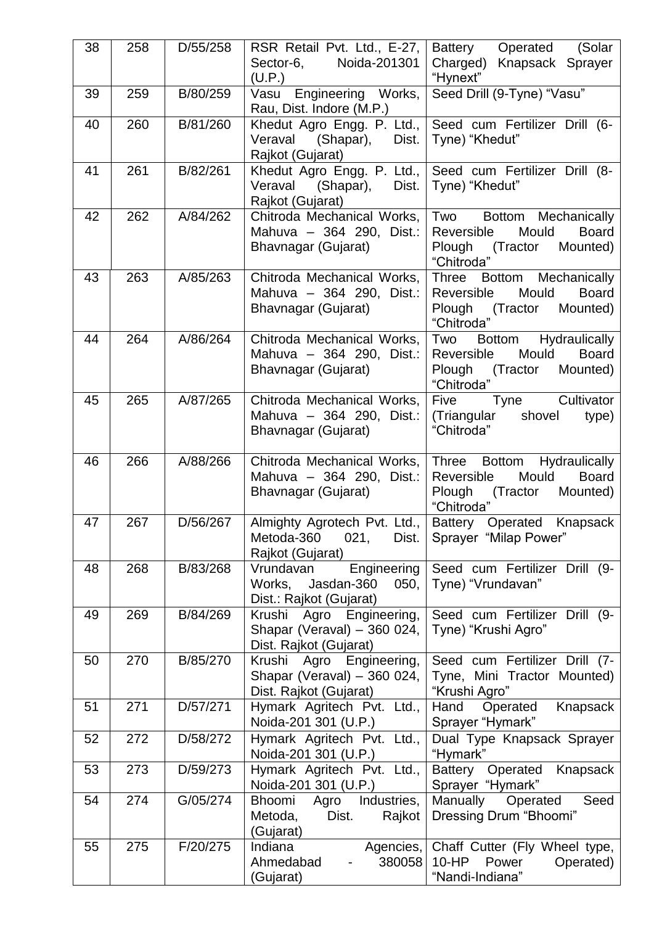| 38 | 258 | D/55/258 | RSR Retail Pvt. Ltd., E-27,<br>Sector-6,<br>Noida-201301    | Operated (Solar<br>Battery<br>Charged) Knapsack Sprayer                      |
|----|-----|----------|-------------------------------------------------------------|------------------------------------------------------------------------------|
|    |     |          | (U.P.)                                                      | "Hynext"                                                                     |
| 39 | 259 | B/80/259 | Vasu Engineering Works,<br>Rau, Dist. Indore (M.P.)         | Seed Drill (9-Tyne) "Vasu"                                                   |
| 40 | 260 | B/81/260 | Khedut Agro Engg. P. Ltd.,<br>Veraval<br>(Shapar),<br>Dist. | Seed cum Fertilizer Drill (6-<br>Tyne) "Khedut"                              |
|    |     |          | Rajkot (Gujarat)                                            |                                                                              |
| 41 | 261 | B/82/261 | Khedut Agro Engg. P. Ltd.,                                  | Seed cum Fertilizer Drill (8-                                                |
|    |     |          | Veraval<br>(Shapar),<br>Dist.<br>Rajkot (Gujarat)           | Tyne) "Khedut"                                                               |
| 42 | 262 | A/84/262 | Chitroda Mechanical Works,                                  | Two<br>Bottom Mechanically                                                   |
|    |     |          | Mahuva - 364 290, Dist.:<br>Bhavnagar (Gujarat)             | Mould<br><b>Board</b><br>Reversible<br>Plough<br>(Tractor Mounted)           |
|    |     |          |                                                             | "Chitroda"                                                                   |
| 43 | 263 | A/85/263 | Chitroda Mechanical Works,<br>Mahuva - 364 290, Dist.:      | Bottom Mechanically<br><b>Three</b><br>Reversible<br>Mould<br><b>Board</b>   |
|    |     |          | Bhavnagar (Gujarat)                                         | Plough<br>Mounted)<br>(Tractor                                               |
|    | 264 | A/86/264 |                                                             | "Chitroda"                                                                   |
| 44 |     |          | Chitroda Mechanical Works,<br>Mahuva - 364 290, Dist.:      | Hydraulically<br>Two<br><b>Bottom</b><br>Reversible<br>Mould<br><b>Board</b> |
|    |     |          | Bhavnagar (Gujarat)                                         | Plough<br>(Tractor<br>Mounted)                                               |
| 45 | 265 | A/87/265 | Chitroda Mechanical Works,                                  | "Chitroda"<br>Five<br>Tyne<br>Cultivator                                     |
|    |     |          | Mahuva - 364 290, Dist.:                                    | (Triangular shovel<br>type)                                                  |
|    |     |          | Bhavnagar (Gujarat)                                         | "Chitroda"                                                                   |
| 46 | 266 | A/88/266 | Chitroda Mechanical Works,                                  | Hydraulically<br>Three<br><b>Bottom</b>                                      |
|    |     |          | Mahuva - 364 290, Dist.:<br>Bhavnagar (Gujarat)             | Reversible<br>Mould<br><b>Board</b><br>Plough<br>(Tractor Mounted)           |
|    |     |          |                                                             | "Chitroda"                                                                   |
| 47 | 267 | D/56/267 | Almighty Agrotech Pvt. Ltd.,                                | Battery Operated Knapsack<br>Sprayer "Milap Power"                           |
|    |     |          | Metoda-360<br>021,<br>Dist.<br>Rajkot (Gujarat)             |                                                                              |
| 48 | 268 | B/83/268 | Engineering<br>Vrundavan                                    | Seed cum Fertilizer Drill (9-                                                |
|    |     |          | Works,<br>Jasdan-360<br>050,<br>Dist.: Rajkot (Gujarat)     | Tyne) "Vrundavan"                                                            |
| 49 | 269 | B/84/269 | Engineering,<br>Krushi<br>Agro                              | Seed cum Fertilizer Drill (9-                                                |
|    |     |          | Shapar (Veraval) - 360 024,<br>Dist. Rajkot (Gujarat)       | Tyne) "Krushi Agro"                                                          |
| 50 | 270 | B/85/270 | Engineering,<br>Agro<br>Krushi                              | Seed cum Fertilizer Drill (7-                                                |
|    |     |          | Shapar (Veraval) - 360 024,<br>Dist. Rajkot (Gujarat)       | Tyne, Mini Tractor Mounted)<br>"Krushi Agro"                                 |
| 51 | 271 | D/57/271 | Hymark Agritech Pvt. Ltd.,                                  | Hand<br>Operated<br>Knapsack                                                 |
| 52 | 272 | D/58/272 | Noida-201 301 (U.P.)<br>Hymark Agritech Pvt. Ltd.,          | Sprayer "Hymark"                                                             |
|    |     |          | Noida-201 301 (U.P.)                                        | Dual Type Knapsack Sprayer<br>"Hymark"                                       |
| 53 | 273 | D/59/273 | Hymark Agritech Pvt. Ltd.,<br>Noida-201 301 (U.P.)          | Battery Operated<br>Knapsack<br>Sprayer "Hymark"                             |
| 54 | 274 | G/05/274 | Bhoomi<br>Industries,<br>Agro                               | Manually<br>Seed<br>Operated                                                 |
|    |     |          | Dist.<br>Metoda,<br>Rajkot                                  | Dressing Drum "Bhoomi"                                                       |
| 55 | 275 | F/20/275 | (Gujarat)<br>Indiana<br>Agencies,                           | Chaff Cutter (Fly Wheel type,                                                |
|    |     |          | 380058<br>Ahmedabad                                         | $10-HP$<br>Power<br>Operated)                                                |
|    |     |          | (Gujarat)                                                   | "Nandi-Indiana"                                                              |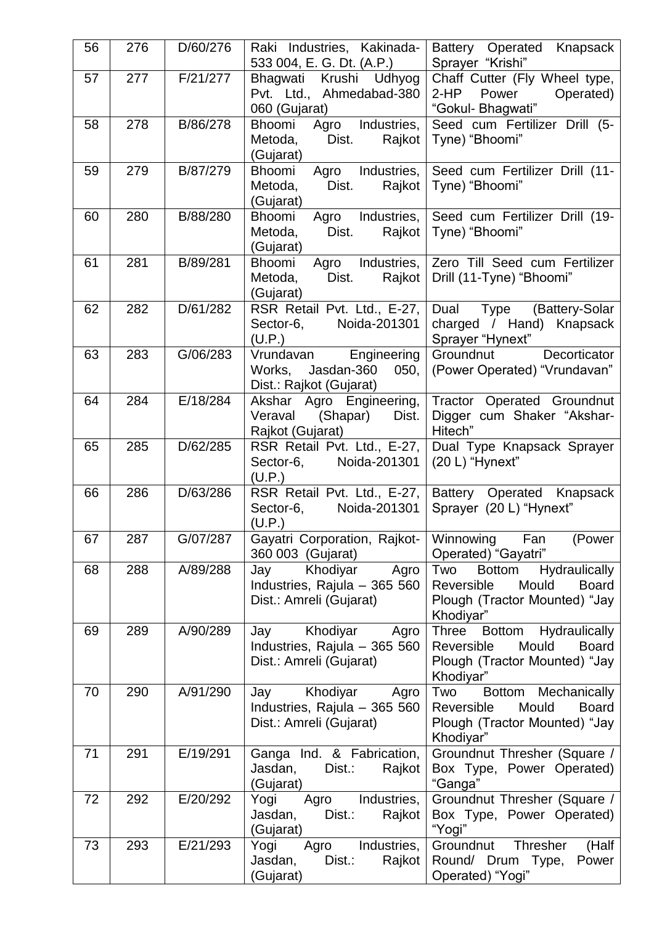| 56 | 276 | D/60/276 | Raki Industries, Kakinada-<br>533 004, E. G. Dt. (A.P.)                             | Battery Operated Knapsack<br>Sprayer "Krishi"                                                                                       |
|----|-----|----------|-------------------------------------------------------------------------------------|-------------------------------------------------------------------------------------------------------------------------------------|
| 57 | 277 | F/21/277 | Krushi<br>Bhagwati<br>Udhyog<br>Pvt. Ltd., Ahmedabad-380<br>060 (Gujarat)           | Chaff Cutter (Fly Wheel type,<br>$2-HP$<br>Power<br>Operated)<br>"Gokul- Bhagwati"                                                  |
| 58 | 278 | B/86/278 | Agro Industries,<br>Bhoomi<br>Metoda,<br>Dist.<br>Rajkot<br>(Gujarat)               | Seed cum Fertilizer Drill (5-<br>Tyne) "Bhoomi"                                                                                     |
| 59 | 279 | B/87/279 | Bhoomi<br>Agro Industries,<br>Metoda,<br>Dist.<br>Rajkot<br>(Gujarat)               | Seed cum Fertilizer Drill (11-<br>Tyne) "Bhoomi"                                                                                    |
| 60 | 280 | B/88/280 | Bhoomi<br>Agro Industries,<br>Metoda,<br>Dist.<br>Rajkot<br>(Gujarat)               | Seed cum Fertilizer Drill (19-<br>Tyne) "Bhoomi"                                                                                    |
| 61 | 281 | B/89/281 | Agro Industries,<br>Bhoomi<br>Metoda,<br>Dist.<br>Rajkot<br>(Gujarat)               | Zero Till Seed cum Fertilizer<br>Drill (11-Tyne) "Bhoomi"                                                                           |
| 62 | 282 | D/61/282 | RSR Retail Pvt. Ltd., E-27,<br>Noida-201301<br>Sector-6,<br>(U.P.)                  | Dual Type (Battery-Solar<br>charged / Hand) Knapsack<br>Sprayer "Hynext"                                                            |
| 63 | 283 | G/06/283 | Engineering<br>Vrundavan<br>Jasdan-360<br>Works,<br>050,<br>Dist.: Rajkot (Gujarat) | Groundnut Decorticator<br>(Power Operated) "Vrundavan"                                                                              |
| 64 | 284 | E/18/284 | Akshar Agro Engineering,<br>Dist.<br>Veraval<br>(Shapar)<br>Rajkot (Gujarat)        | Tractor Operated Groundnut<br>Digger cum Shaker "Akshar-<br>Hitech"                                                                 |
| 65 | 285 | D/62/285 | RSR Retail Pvt. Ltd., E-27,<br>Noida-201301<br>Sector-6,<br>(U.P.)                  | Dual Type Knapsack Sprayer<br>(20 L) "Hynext"                                                                                       |
| 66 | 286 | D/63/286 | RSR Retail Pvt. Ltd., E-27,<br>Noida-201301<br>Sector-6,<br>(U.P.)                  | Battery Operated Knapsack<br>Sprayer (20 L) "Hynext"                                                                                |
| 67 | 287 | G/07/287 | Gayatri Corporation, Rajkot-<br>360 003 (Gujarat)                                   | Winnowing<br>Fan<br>(Power<br>Operated) "Gayatri"                                                                                   |
| 68 | 288 | A/89/288 | Khodiyar<br>Agro<br>Jay<br>Industries, Rajula - 365 560<br>Dist.: Amreli (Gujarat)  | <b>Hydraulically</b><br>Two<br><b>Bottom</b><br>Reversible<br>Mould<br><b>Board</b><br>Plough (Tractor Mounted) "Jay<br>Khodiyar"   |
| 69 | 289 | A/90/289 | Khodiyar<br>Jay<br>Agro<br>Industries, Rajula - 365 560<br>Dist.: Amreli (Gujarat)  | Hydraulically<br><b>Three</b><br><b>Bottom</b><br>Mould<br><b>Board</b><br>Reversible<br>Plough (Tractor Mounted) "Jay<br>Khodiyar" |
| 70 | 290 | A/91/290 | Khodiyar<br>Jay<br>Agro<br>Industries, Rajula - 365 560<br>Dist.: Amreli (Gujarat)  | Mechanically<br>Two<br><b>Bottom</b><br>Mould<br>Reversible<br><b>Board</b><br>Plough (Tractor Mounted) "Jay<br>Khodiyar"           |
| 71 | 291 | E/19/291 | Ganga Ind. & Fabrication,<br>Dist.:<br>Rajkot<br>Jasdan,<br>(Gujarat)               | Groundnut Thresher (Square /<br>Box Type, Power Operated)<br>"Ganga"                                                                |
| 72 | 292 | E/20/292 | Industries,<br>Yogi<br>Agro<br>Rajkot<br>Jasdan,<br>Dist.:<br>(Gujarat)             | Groundnut Thresher (Square /<br>Box Type, Power Operated)<br>"Yogi"                                                                 |
| 73 | 293 | E/21/293 | Industries,<br>Yogi<br>Agro<br>Jasdan,<br>Dist.:<br>Rajkot<br>(Gujarat)             | Groundnut<br>(Half<br><b>Thresher</b><br>Round/ Drum Type,<br>Power<br>Operated) "Yogi"                                             |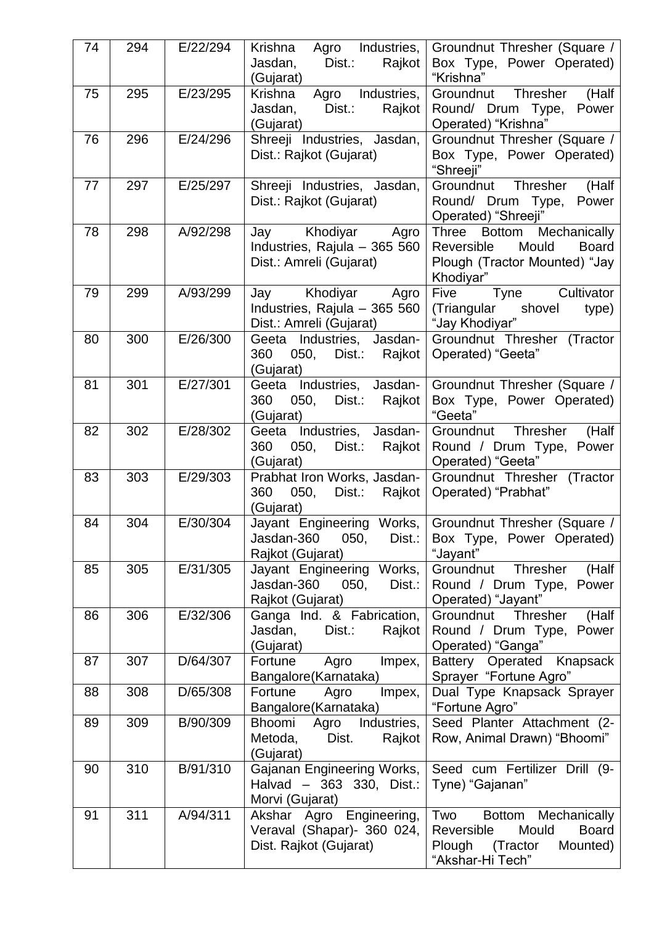| 74 | 294 | E/22/294 | Krishna<br>Agro Industries,<br>Jasdan,<br>Dist.:<br>Rajkot<br>(Gujarat)            | Groundnut Thresher (Square /<br>Box Type, Power Operated)<br>"Krishna"                                                             |
|----|-----|----------|------------------------------------------------------------------------------------|------------------------------------------------------------------------------------------------------------------------------------|
| 75 | 295 | E/23/295 | Krishna<br>Agro Industries,<br>Jasdan,<br>Dist.:<br>Rajkot<br>(Gujarat)            | Groundnut Thresher<br>(Half<br>Round/ Drum Type,<br>Power<br>Operated) "Krishna"                                                   |
| 76 | 296 | E/24/296 | Shreeji Industries, Jasdan,<br>Dist.: Rajkot (Gujarat)                             | Groundnut Thresher (Square /<br>Box Type, Power Operated)<br>"Shreeji"                                                             |
| 77 | 297 | E/25/297 | Shreeji Industries, Jasdan,<br>Dist.: Rajkot (Gujarat)                             | Groundnut Thresher<br>(Half<br>Round/ Drum Type,<br>Power<br>Operated) "Shreeji"                                                   |
| 78 | 298 | A/92/298 | Jay Khodiyar Agro<br>Industries, Rajula - 365 560<br>Dist.: Amreli (Gujarat)       | <b>Bottom</b><br><b>Three</b><br>Mechanically<br>Mould<br>Reversible<br><b>Board</b><br>Plough (Tractor Mounted) "Jay<br>Khodiyar" |
| 79 | 299 | A/93/299 | Khodiyar<br>Agro<br>Jay<br>Industries, Rajula - 365 560<br>Dist.: Amreli (Gujarat) | Cultivator<br>Tyne<br>Five<br>(Triangular shovel<br>type)<br>"Jay Khodiyar"                                                        |
| 80 | 300 | E/26/300 | Geeta Industries, Jasdan-<br>360<br>050,<br>Dist.:<br>Rajkot<br>(Gujarat)          | Groundnut Thresher (Tractor<br>Operated) "Geeta"                                                                                   |
| 81 | 301 | E/27/301 | Geeta Industries, Jasdan-<br>360<br>Dist.: Rajkot<br>050,<br>(Gujarat)             | Groundnut Thresher (Square /<br>Box Type, Power Operated)<br>"Geeta"                                                               |
| 82 | 302 | E/28/302 | Geeta Industries, Jasdan-<br>360<br>Dist.:<br>Rajkot<br>050,<br>(Gujarat)          | Thresher<br>(Half<br>Groundnut<br>Round / Drum Type, Power<br>Operated) "Geeta"                                                    |
| 83 | 303 | E/29/303 | Prabhat Iron Works, Jasdan-<br>360<br>Dist.: Rajkot<br>050,<br>(Gujarat)           | Groundnut Thresher (Tractor<br>Operated) "Prabhat"                                                                                 |
| 84 | 304 | E/30/304 | Jayant Engineering Works,<br>Jasdan-360<br>050,<br>Dist.:<br>Rajkot (Gujarat)      | Groundnut Thresher (Square /<br>Box Type, Power Operated)<br>"Jayant"                                                              |
| 85 | 305 | E/31/305 | Jayant Engineering Works,<br>Jasdan-360<br>050,<br>Dist.:<br>Rajkot (Gujarat)      | (Half<br>Groundnut<br>Thresher<br>Round / Drum Type, Power<br>Operated) "Jayant"                                                   |
| 86 | 306 | E/32/306 | Ganga Ind. & Fabrication,<br>Dist.:<br>Jasdan,<br>Rajkot<br>(Gujarat)              | <b>Thresher</b><br>(Half<br>Groundnut<br>Round / Drum Type, Power<br>Operated) "Ganga"                                             |
| 87 | 307 | D/64/307 | Fortune<br>Impex,<br>Agro<br>Bangalore(Karnataka)                                  | Battery Operated<br>Knapsack<br>Sprayer "Fortune Agro"                                                                             |
| 88 | 308 | D/65/308 | Impex,<br>Fortune<br>Agro<br>Bangalore(Karnataka)                                  | Dual Type Knapsack Sprayer<br>"Fortune Agro"                                                                                       |
| 89 | 309 | B/90/309 | Bhoomi<br>Industries,<br>Agro<br>Dist.<br>Metoda,<br>Rajkot<br>(Gujarat)           | Seed Planter Attachment (2-<br>Row, Animal Drawn) "Bhoomi"                                                                         |
| 90 | 310 | B/91/310 | Gajanan Engineering Works,<br>Halvad - 363 330, Dist.:<br>Morvi (Gujarat)          | Seed cum Fertilizer Drill (9-<br>Tyne) "Gajanan"                                                                                   |
| 91 | 311 | A/94/311 | Akshar Agro Engineering,<br>Veraval (Shapar)- 360 024,<br>Dist. Rajkot (Gujarat)   | Two<br>Mechanically<br><b>Bottom</b><br>Mould<br><b>Board</b><br>Reversible<br>Plough<br>(Tractor<br>Mounted)<br>"Akshar-Hi Tech"  |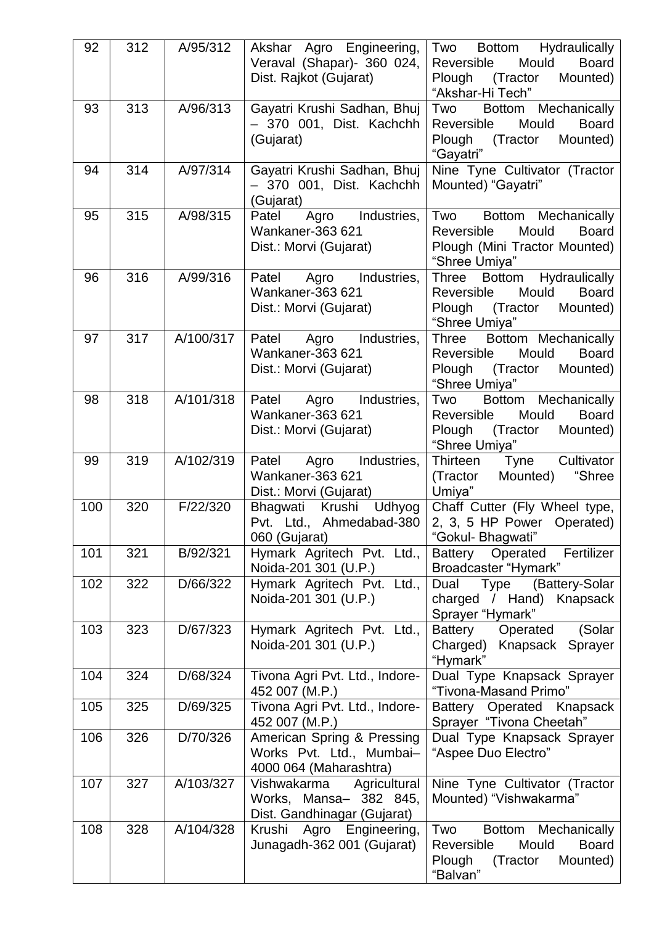| 92  | 312 | A/95/312  | Akshar Agro Engineering,<br>Veraval (Shapar)- 360 024,<br>Dist. Rajkot (Gujarat)     | Hydraulically<br><b>Bottom</b><br>Two<br>Mould<br><b>Board</b><br>Reversible<br>(Tractor<br>Mounted)<br>Plough<br>"Akshar-Hi Tech" |
|-----|-----|-----------|--------------------------------------------------------------------------------------|------------------------------------------------------------------------------------------------------------------------------------|
| 93  | 313 | A/96/313  | Gayatri Krushi Sadhan, Bhuj<br>- 370 001, Dist. Kachchh<br>(Gujarat)                 | Bottom Mechanically<br>Two<br>Reversible<br>Mould<br><b>Board</b><br>(Tractor<br>Plough<br>Mounted)<br>"Gayatri"                   |
| 94  | 314 | A/97/314  | Gayatri Krushi Sadhan, Bhuj<br>- 370 001, Dist. Kachchh<br>(Gujarat)                 | Nine Tyne Cultivator (Tractor<br>Mounted) "Gayatri"                                                                                |
| 95  | 315 | A/98/315  | Agro<br>Industries,<br>Patel<br>Wankaner-363 621<br>Dist.: Morvi (Gujarat)           | Two<br>Bottom Mechanically<br>Mould<br><b>Board</b><br>Reversible<br>Plough (Mini Tractor Mounted)<br>"Shree Umiya"                |
| 96  | 316 | A/99/316  | Agro<br>Industries,<br>Patel<br>Wankaner-363 621<br>Dist.: Morvi (Gujarat)           | Bottom Hydraulically<br>Three<br>Reversible<br>Mould<br><b>Board</b><br>Plough<br>(Tractor<br>Mounted)<br>"Shree Umiya"            |
| 97  | 317 | A/100/317 | Patel<br>Industries,<br>Agro<br>Wankaner-363 621<br>Dist.: Morvi (Gujarat)           | Bottom Mechanically<br>Three<br>Mould<br><b>Board</b><br>Reversible<br>(Tractor<br>Mounted)<br>Plough<br>"Shree Umiya"             |
| 98  | 318 | A/101/318 | Agro Industries,<br>Patel<br>Wankaner-363 621<br>Dist.: Morvi (Gujarat)              | Two<br>Bottom Mechanically<br>Mould<br><b>Board</b><br>Reversible<br>(Tractor<br>Plough<br>Mounted)<br>"Shree Umiya"               |
| 99  | 319 | A/102/319 | Agro Industries,<br>Patel<br>Wankaner-363 621<br>Dist.: Morvi (Gujarat)              | Thirteen<br>Cultivator<br>Tyne<br>"Shree<br>(Tractor<br>Mounted)<br>Umiya"                                                         |
| 100 | 320 | F/22/320  | Bhagwati Krushi<br>Udhyog<br>Pvt. Ltd., Ahmedabad-380<br>060 (Gujarat)               | Chaff Cutter (Fly Wheel type,<br>2, 3, 5 HP Power Operated)<br>"Gokul- Bhagwati"                                                   |
| 101 | 321 | B/92/321  | Hymark Agritech Pvt. Ltd.,<br>Noida-201 301 (U.P.)                                   | Fertilizer<br>Operated<br><b>Battery</b><br>Broadcaster "Hymark"                                                                   |
| 102 | 322 | D/66/322  | Hymark Agritech Pvt. Ltd.,<br>Noida-201 301 (U.P.)                                   | Type<br>(Battery-Solar<br>Dual<br>charged / Hand) Knapsack<br>Sprayer "Hymark"                                                     |
| 103 | 323 | D/67/323  | Hymark Agritech Pvt. Ltd.,<br>Noida-201 301 (U.P.)                                   | Battery<br>Operated<br>(Solar<br>Charged)<br>Knapsack Sprayer<br>"Hymark"                                                          |
| 104 | 324 | D/68/324  | Tivona Agri Pvt. Ltd., Indore-<br>452 007 (M.P.)                                     | Dual Type Knapsack Sprayer<br>"Tivona-Masand Primo"                                                                                |
| 105 | 325 | D/69/325  | Tivona Agri Pvt. Ltd., Indore-<br>452 007 (M.P.)                                     | Operated Knapsack<br>Battery<br>Sprayer "Tivona Cheetah"                                                                           |
| 106 | 326 | D/70/326  | American Spring & Pressing<br>Works Pvt. Ltd., Mumbai-<br>4000 064 (Maharashtra)     | Dual Type Knapsack Sprayer<br>"Aspee Duo Electro"                                                                                  |
| 107 | 327 | A/103/327 | Vishwakarma<br>Agricultural<br>Works, Mansa- 382 845,<br>Dist. Gandhinagar (Gujarat) | Nine Tyne Cultivator (Tractor<br>Mounted) "Vishwakarma"                                                                            |
| 108 | 328 | A/104/328 | Krushi Agro Engineering,<br>Junagadh-362 001 (Gujarat)                               | Two<br>Bottom Mechanically<br>Mould<br><b>Board</b><br>Reversible<br>Mounted)<br>Plough<br>(Tractor<br>"Balvan"                    |